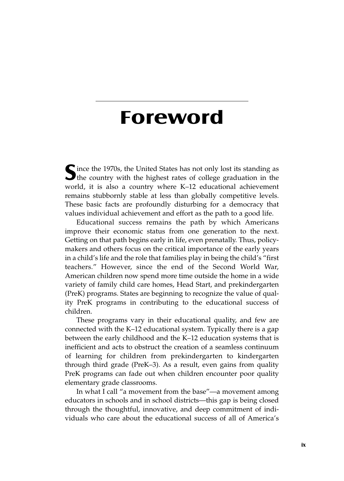## **Foreword**

**S**ince the 1970s, the United States has not only lost its standing as **U** the country with the highest rates of college graduation in the world, it is also a country where K–12 educational achievement remains stubbornly stable at less than globally competitive levels. These basic facts are profoundly disturbing for a democracy that values individual achievement and effort as the path to a good life.

Educational success remains the path by which Americans improve their economic status from one generation to the next. Getting on that path begins early in life, even prenatally. Thus, policymakers and others focus on the critical importance of the early years in a child's life and the role that families play in being the child's "first teachers." However, since the end of the Second World War, American children now spend more time outside the home in a wide variety of family child care homes, Head Start, and prekindergarten (PreK) programs. States are beginning to recognize the value of quality PreK programs in contributing to the educational success of children.

These programs vary in their educational quality, and few are connected with the K–12 educational system. Typically there is a gap between the early childhood and the K–12 education systems that is inefficient and acts to obstruct the creation of a seamless continuum of learning for children from prekindergarten to kindergarten through third grade (PreK–3). As a result, even gains from quality PreK programs can fade out when children encounter poor quality elementary grade classrooms.

In what I call "a movement from the base"—a movement among educators in schools and in school districts—this gap is being closed through the thoughtful, innovative, and deep commitment of individuals who care about the educational success of all of America's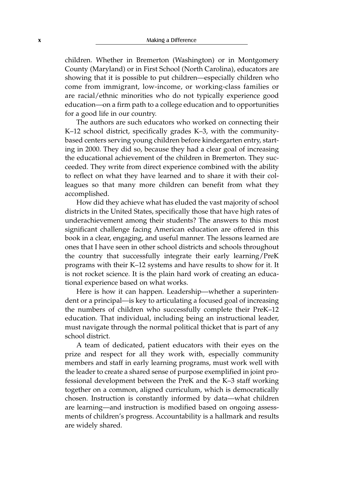children. Whether in Bremerton (Washington) or in Montgomery County (Maryland) or in First School (North Carolina), educators are showing that it is possible to put children—especially children who come from immigrant, low-income, or working-class families or are racial/ethnic minorities who do not typically experience good education—on a firm path to a college education and to opportunities for a good life in our country.

The authors are such educators who worked on connecting their K–12 school district, specifically grades K–3, with the communitybased centers serving young children before kindergarten entry, starting in 2000. They did so, because they had a clear goal of increasing the educational achievement of the children in Bremerton. They succeeded. They write from direct experience combined with the ability to reflect on what they have learned and to share it with their colleagues so that many more children can benefit from what they accomplished.

How did they achieve what has eluded the vast majority of school districts in the United States, specifically those that have high rates of underachievement among their students? The answers to this most significant challenge facing American education are offered in this book in a clear, engaging, and useful manner. The lessons learned are ones that I have seen in other school districts and schools throughout the country that successfully integrate their early learning/PreK programs with their K–12 systems and have results to show for it. It is not rocket science. It is the plain hard work of creating an educational experience based on what works.

Here is how it can happen. Leadership—whether a superintendent or a principal—is key to articulating a focused goal of increasing the numbers of children who successfully complete their PreK–12 education. That individual, including being an instructional leader, must navigate through the normal political thicket that is part of any school district.

A team of dedicated, patient educators with their eyes on the prize and respect for all they work with, especially community members and staff in early learning programs, must work well with the leader to create a shared sense of purpose exemplified in joint professional development between the PreK and the K–3 staff working together on a common, aligned curriculum, which is democratically chosen. Instruction is constantly informed by data—what children are learning—and instruction is modified based on ongoing assessments of children's progress. Accountability is a hallmark and results are widely shared.